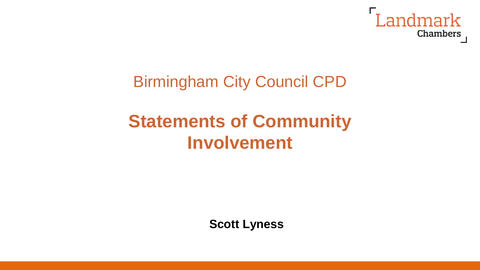

## Birmingham City Council CPD

# **Statements of Community Involvement**

**Scott Lyness**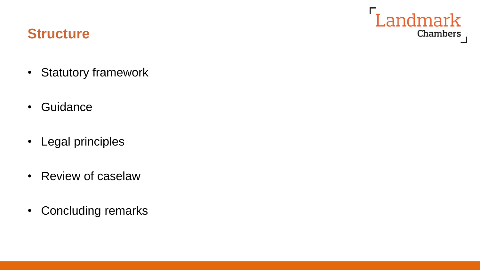#### **Structure**

• Statutory framework

Landmark

Chambers

- Guidance
- Legal principles
- Review of caselaw
- Concluding remarks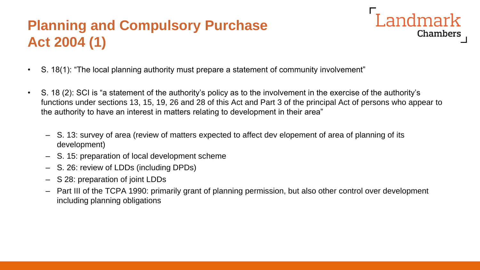#### **Planning and Compulsory Purchase Act 2004 (1)**



- S. 18(1): "The local planning authority must prepare a statement of community involvement"
- S. 18 (2): SCI is "a statement of the authority's policy as to the involvement in the exercise of the authority's functions under sections 13, 15, 19, 26 and 28 of this Act and Part 3 of the principal Act of persons who appear to the authority to have an interest in matters relating to development in their area"
	- S. 13: survey of area (review of matters expected to affect dev elopement of area of planning of its development)
	- S. 15: preparation of local development scheme
	- S. 26: review of LDDs (including DPDs)
	- S 28: preparation of joint LDDs
	- Part III of the TCPA 1990: primarily grant of planning permission, but also other control over development including planning obligations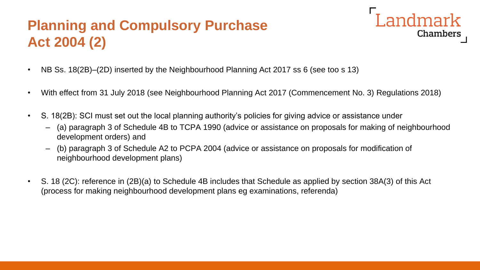#### **Planning and Compulsory Purchase Act 2004 (2)**



- NB Ss. 18(2B)–(2D) inserted by the Neighbourhood Planning Act 2017 ss 6 (see too s 13)
- With effect from 31 July 2018 (see Neighbourhood Planning Act 2017 (Commencement No. 3) Regulations 2018)
- S. 18(2B): SCI must set out the local planning authority's policies for giving advice or assistance under
	- (a) paragraph 3 of Schedule 4B to TCPA 1990 (advice or assistance on proposals for making of neighbourhood development orders) and
	- (b) paragraph 3 of Schedule A2 to PCPA 2004 (advice or assistance on proposals for modification of neighbourhood development plans)
- S. 18 (2C): reference in (2B)(a) to Schedule 4B includes that Schedule as applied by section 38A(3) of this Act (process for making neighbourhood development plans eg examinations, referenda)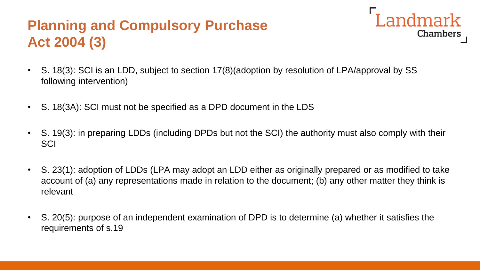#### **Planning and Compulsory Purchase Act 2004 (3)**



- S. 18(3): SCI is an LDD, subject to section 17(8)(adoption by resolution of LPA/approval by SS following intervention)
- S. 18(3A): SCI must not be specified as a DPD document in the LDS
- S. 19(3): in preparing LDDs (including DPDs but not the SCI) the authority must also comply with their **SCI**
- S. 23(1): adoption of LDDs (LPA may adopt an LDD either as originally prepared or as modified to take account of (a) any representations made in relation to the document; (b) any other matter they think is relevant
- S. 20(5): purpose of an independent examination of DPD is to determine (a) whether it satisfies the requirements of s.19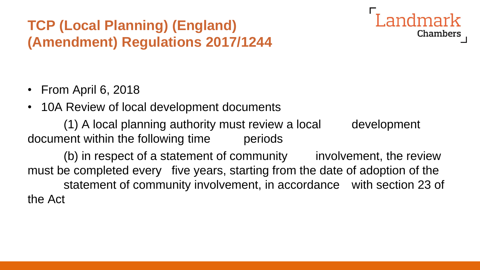#### **TCP (Local Planning) (England) (Amendment) Regulations 2017/1244**



- From April 6, 2018
- 10A Review of local development documents

(1) A local planning authority must review a local development document within the following time periods

(b) in respect of a statement of community involvement, the review must be completed every five years, starting from the date of adoption of the statement of community involvement, in accordance with section 23 of the Act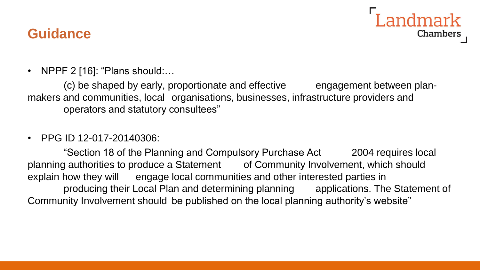#### **Guidance**



• NPPF 2 [16]: "Plans should:...

(c) be shaped by early, proportionate and effective engagement between planmakers and communities, local organisations, businesses, infrastructure providers and operators and statutory consultees"

#### • PPG ID 12-017-20140306:

"Section 18 of the Planning and Compulsory Purchase Act 2004 requires local planning authorities to produce a Statement of Community Involvement, which should explain how they will engage local communities and other interested parties in producing their Local Plan and determining planning applications. The Statement of Community Involvement should be published on the local planning authority's website"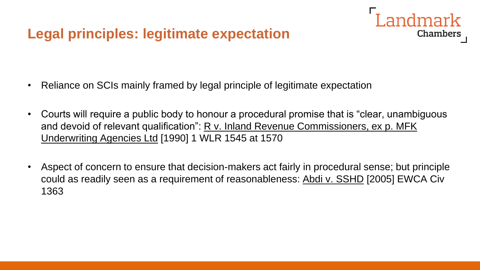#### **Legal principles: legitimate expectation**

- Reliance on SCIs mainly framed by legal principle of legitimate expectation
- Courts will require a public body to honour a procedural promise that is "clear, unambiguous and devoid of relevant qualification": R v. Inland Revenue Commissioners, ex p. MFK Underwriting Agencies Ltd [1990] 1 WLR 1545 at 1570

I andmark

Chambers

• Aspect of concern to ensure that decision-makers act fairly in procedural sense; but principle could as readily seen as a requirement of reasonableness: Abdi v. SSHD [2005] EWCA Civ 1363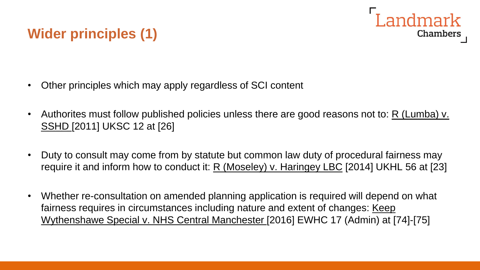## **Wider principles (1)**

Landmark Chambers

- Other principles which may apply regardless of SCI content
- Authorites must follow published policies unless there are good reasons not to: R (Lumba) v. SSHD [2011] UKSC 12 at [26]
- Duty to consult may come from by statute but common law duty of procedural fairness may require it and inform how to conduct it: R (Moseley) v. Haringey LBC [2014] UKHL 56 at [23]
- Whether re-consultation on amended planning application is required will depend on what fairness requires in circumstances including nature and extent of changes: Keep Wythenshawe Special v. NHS Central Manchester [2016] EWHC 17 (Admin) at [74]-[75]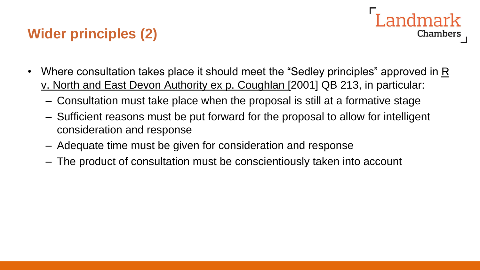### **Wider principles (2)**

- ndmark Chambers
- Where consultation takes place it should meet the "Sedley principles" approved in R v. North and East Devon Authority ex p. Coughlan [2001] QB 213, in particular:
	- Consultation must take place when the proposal is still at a formative stage
	- Sufficient reasons must be put forward for the proposal to allow for intelligent consideration and response
	- Adequate time must be given for consideration and response
	- The product of consultation must be conscientiously taken into account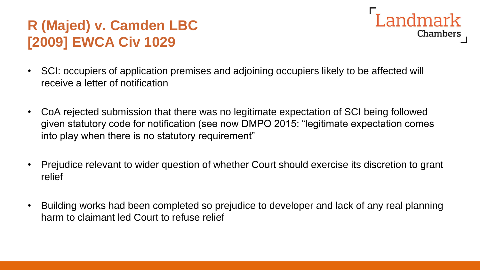#### **R (Majed) v. Camden LBC [2009] EWCA Civ 1029**



- SCI: occupiers of application premises and adjoining occupiers likely to be affected will receive a letter of notification
- CoA rejected submission that there was no legitimate expectation of SCI being followed given statutory code for notification (see now DMPO 2015: "legitimate expectation comes into play when there is no statutory requirement"
- Prejudice relevant to wider question of whether Court should exercise its discretion to grant relief
- Building works had been completed so prejudice to developer and lack of any real planning harm to claimant led Court to refuse relief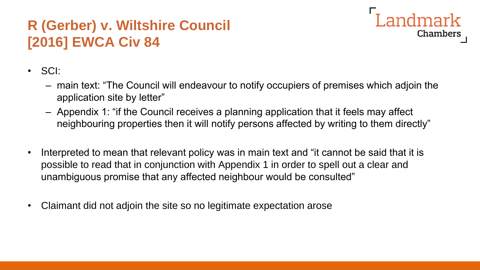#### **R (Gerber) v. Wiltshire Council [2016] EWCA Civ 84**



- SCI:
	- main text: "The Council will endeavour to notify occupiers of premises which adjoin the application site by letter"
	- Appendix 1: "if the Council receives a planning application that it feels may affect neighbouring properties then it will notify persons affected by writing to them directly"
- Interpreted to mean that relevant policy was in main text and "it cannot be said that it is possible to read that in conjunction with Appendix 1 in order to spell out a clear and unambiguous promise that any affected neighbour would be consulted"
- Claimant did not adjoin the site so no legitimate expectation arose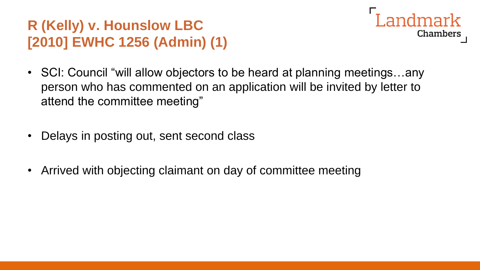## **R (Kelly) v. Hounslow LBC [2010] EWHC 1256 (Admin) (1)**

- I andmark **Chambers**
- SCI: Council "will allow objectors to be heard at planning meetings...any person who has commented on an application will be invited by letter to attend the committee meeting"
- Delays in posting out, sent second class
- Arrived with objecting claimant on day of committee meeting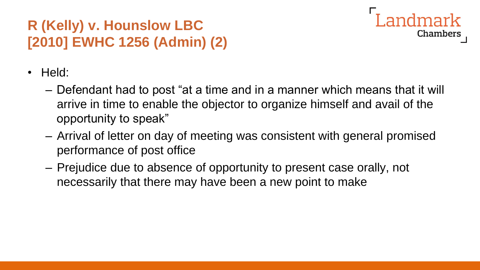## **R (Kelly) v. Hounslow LBC [2010] EWHC 1256 (Admin) (2)**



- Held:
	- Defendant had to post "at a time and in a manner which means that it will arrive in time to enable the objector to organize himself and avail of the opportunity to speak"
	- Arrival of letter on day of meeting was consistent with general promised performance of post office
	- Prejudice due to absence of opportunity to present case orally, not necessarily that there may have been a new point to make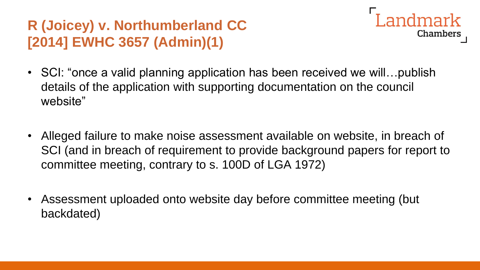#### **R (Joicey) v. Northumberland CC [2014] EWHC 3657 (Admin)(1)**



- SCI: "once a valid planning application has been received we will... publish details of the application with supporting documentation on the council website"
- Alleged failure to make noise assessment available on website, in breach of SCI (and in breach of requirement to provide background papers for report to committee meeting, contrary to s. 100D of LGA 1972)
- Assessment uploaded onto website day before committee meeting (but backdated)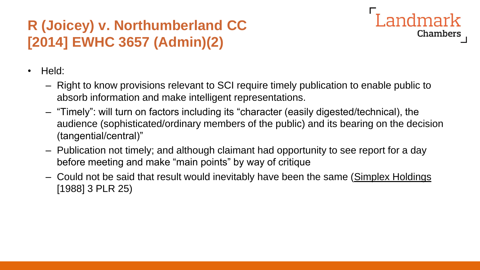### **R (Joicey) v. Northumberland CC [2014] EWHC 3657 (Admin)(2)**



- Held:
	- Right to know provisions relevant to SCI require timely publication to enable public to absorb information and make intelligent representations.
	- "Timely": will turn on factors including its "character (easily digested/technical), the audience (sophisticated/ordinary members of the public) and its bearing on the decision (tangential/central)"
	- Publication not timely; and although claimant had opportunity to see report for a day before meeting and make "main points" by way of critique
	- Could not be said that result would inevitably have been the same (Simplex Holdings [1988] 3 PLR 25)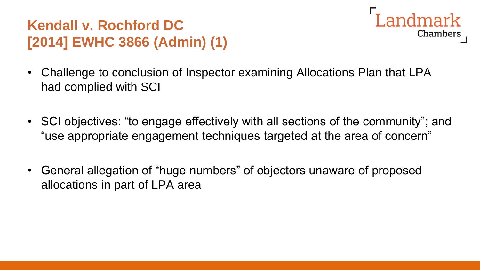#### **Kendall v. Rochford DC [2014] EWHC 3866 (Admin) (1)**



- Challenge to conclusion of Inspector examining Allocations Plan that LPA had complied with SCI
- SCI objectives: "to engage effectively with all sections of the community"; and "use appropriate engagement techniques targeted at the area of concern"
- General allegation of "huge numbers" of objectors unaware of proposed allocations in part of LPA area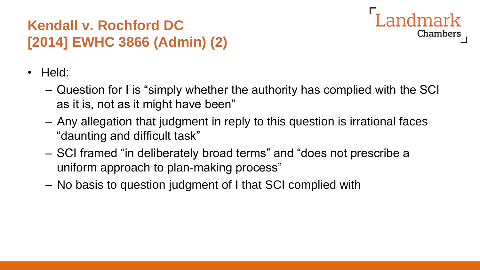#### **Kendall v. Rochford DC [2014] EWHC 3866 (Admin) (2)**



- Held:
	- Question for I is "simply whether the authority has complied with the SCI as it is, not as it might have been"
	- Any allegation that judgment in reply to this question is irrational faces "daunting and difficult task"
	- SCI framed "in deliberately broad terms" and "does not prescribe a uniform approach to plan-making process"
	- No basis to question judgment of I that SCI complied with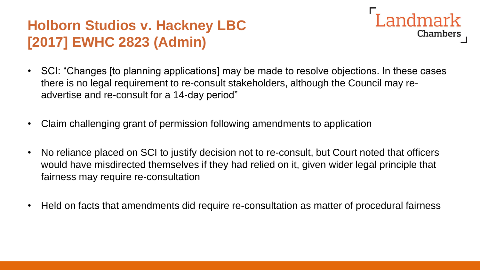#### **Holborn Studios v. Hackney LBC [2017] EWHC 2823 (Admin)**

- Landmark **Chambers**
- SCI: "Changes [to planning applications] may be made to resolve objections. In these cases there is no legal requirement to re-consult stakeholders, although the Council may readvertise and re-consult for a 14-day period"
- Claim challenging grant of permission following amendments to application
- No reliance placed on SCI to justify decision not to re-consult, but Court noted that officers would have misdirected themselves if they had relied on it, given wider legal principle that fairness may require re-consultation
- Held on facts that amendments did require re-consultation as matter of procedural fairness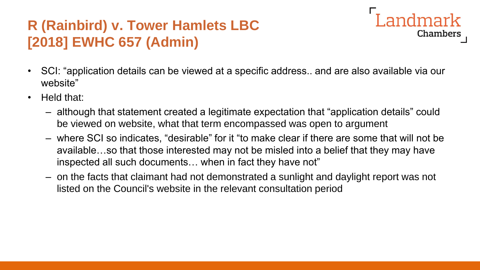#### **R (Rainbird) v. Tower Hamlets LBC [2018] EWHC 657 (Admin)**

• SCI: "application details can be viewed at a specific address.. and are also available via our website"

Landmark

Chambers

- Held that:
	- although that statement created a legitimate expectation that "application details" could be viewed on website, what that term encompassed was open to argument
	- where SCI so indicates, "desirable" for it "to make clear if there are some that will not be available…so that those interested may not be misled into a belief that they may have inspected all such documents… when in fact they have not"
	- on the facts that claimant had not demonstrated a sunlight and daylight report was not listed on the Council's website in the relevant consultation period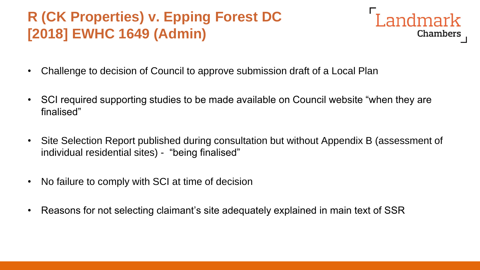#### **R (CK Properties) v. Epping Forest DC [2018] EWHC 1649 (Admin)**



- Challenge to decision of Council to approve submission draft of a Local Plan
- SCI required supporting studies to be made available on Council website "when they are finalised"
- Site Selection Report published during consultation but without Appendix B (assessment of individual residential sites) - "being finalised"
- No failure to comply with SCI at time of decision
- Reasons for not selecting claimant's site adequately explained in main text of SSR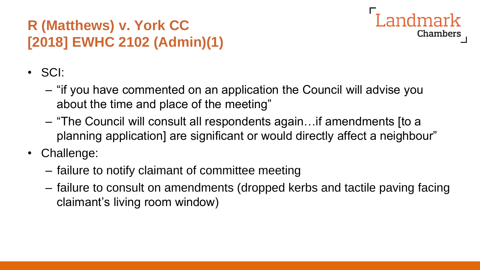## **R (Matthews) v. York CC [2018] EWHC 2102 (Admin)(1)**



- SCI:
	- "if you have commented on an application the Council will advise you about the time and place of the meeting"
	- "The Council will consult all respondents again…if amendments [to a planning application] are significant or would directly affect a neighbour"
- Challenge:
	- failure to notify claimant of committee meeting
	- failure to consult on amendments (dropped kerbs and tactile paving facing claimant's living room window)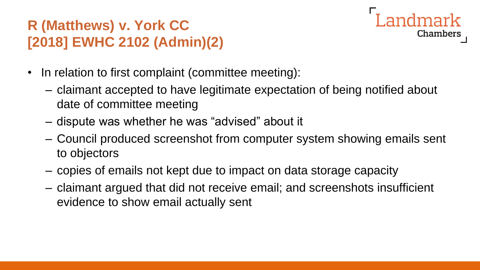## **R (Matthews) v. York CC [2018] EWHC 2102 (Admin)(2)**



- In relation to first complaint (committee meeting):
	- claimant accepted to have legitimate expectation of being notified about date of committee meeting
	- dispute was whether he was "advised" about it
	- Council produced screenshot from computer system showing emails sent to objectors
	- copies of emails not kept due to impact on data storage capacity
	- claimant argued that did not receive email; and screenshots insufficient evidence to show email actually sent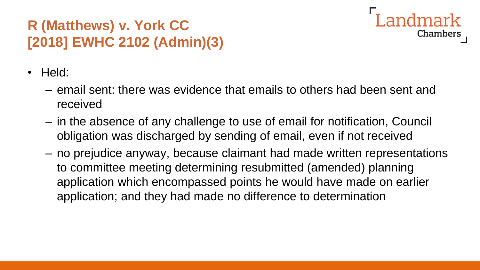### **R (Matthews) v. York CC [2018] EWHC 2102 (Admin)(3)**



- Held:
	- email sent: there was evidence that emails to others had been sent and received
	- in the absence of any challenge to use of email for notification, Council obligation was discharged by sending of email, even if not received
	- no prejudice anyway, because claimant had made written representations to committee meeting determining resubmitted (amended) planning application which encompassed points he would have made on earlier application; and they had made no difference to determination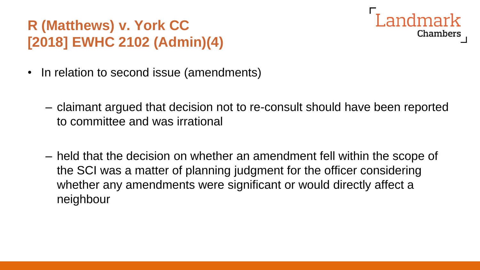## **R (Matthews) v. York CC [2018] EWHC 2102 (Admin)(4)**



- In relation to second issue (amendments)
	- claimant argued that decision not to re-consult should have been reported to committee and was irrational
	- held that the decision on whether an amendment fell within the scope of the SCI was a matter of planning judgment for the officer considering whether any amendments were significant or would directly affect a neighbour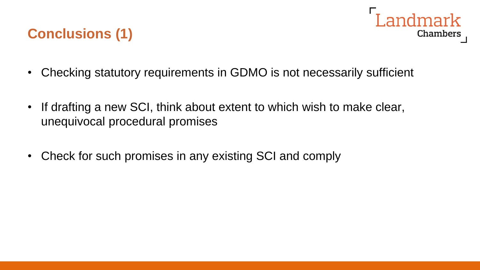#### **Conclusions (1)**



- Checking statutory requirements in GDMO is not necessarily sufficient
- If drafting a new SCI, think about extent to which wish to make clear, unequivocal procedural promises
- Check for such promises in any existing SCI and comply